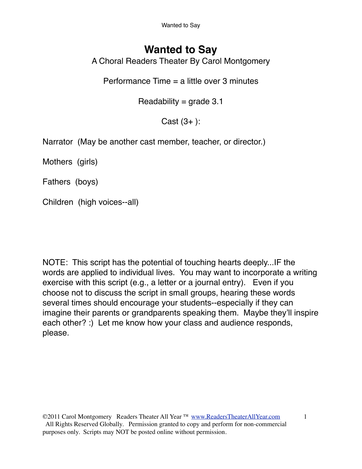Wanted to Say

## **Wanted to Say**

A Choral Readers Theater By Carol Montgomery

Performance Time = a little over 3 minutes

Readability =  $grade$  3.1

 $Cast (3+)$ :

Narrator (May be another cast member, teacher, or director.)

Mothers (girls)

Fathers (boys)

Children (high voices--all)

NOTE: This script has the potential of touching hearts deeply...IF the words are applied to individual lives. You may want to incorporate a writing exercise with this script (e.g., a letter or a journal entry). Even if you choose not to discuss the script in small groups, hearing these words several times should encourage your students--especially if they can imagine their parents or grandparents speaking them. Maybe they'll inspire each other? :) Let me know how your class and audience responds, please.

©2011 Carol Montgomery Readers Theater All Year ™ [www.ReadersTheaterAllYear.com](http://www.ReadersTheaterAllYear.com) 1 All Rights Reserved Globally. Permission granted to copy and perform for non-commercial purposes only. Scripts may NOT be posted online without permission.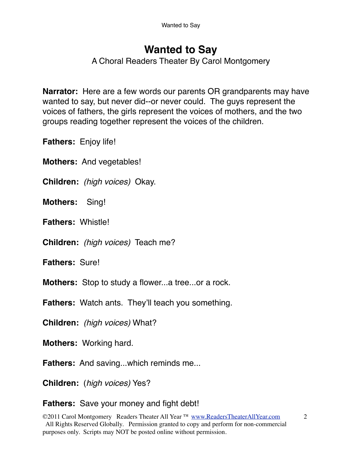# **Wanted to Say**

A Choral Readers Theater By Carol Montgomery

**Narrator:** Here are a few words our parents OR grandparents may have wanted to say, but never did--or never could. The guys represent the voices of fathers, the girls represent the voices of mothers, and the two groups reading together represent the voices of the children.

**Fathers:** Enjoy life!

**Mothers:** And vegetables!

**Children:** *(high voices)* Okay.

**Mothers:** Sing!

**Fathers:** Whistle!

**Children:** *(high voices)* Teach me?

**Fathers:** Sure!

**Mothers:** Stop to study a flower...a tree...or a rock.

**Fathers:** Watch ants. They'll teach you something.

**Children:** *(high voices)* What?

**Mothers:** Working hard.

**Fathers:** And saving...which reminds me...

**Children:** (*high voices)* Yes?

**Fathers:** Save your money and fight debt!

©2011 Carol Montgomery Readers Theater All Year ™ [www.ReadersTheaterAllYear.com](http://www.ReadersTheaterAllYear.com) 2 All Rights Reserved Globally. Permission granted to copy and perform for non-commercial purposes only. Scripts may NOT be posted online without permission.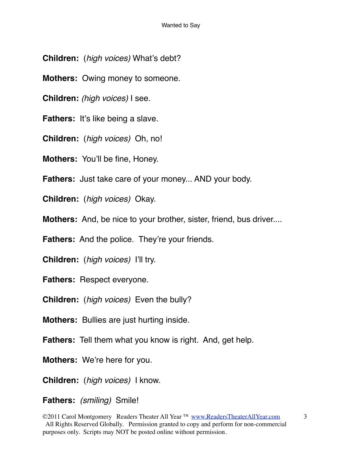- **Children:** (*high voices)* What's debt?
- **Mothers:** Owing money to someone.
- **Children:** *(high voices)* I see.
- **Fathers:** It's like being a slave.
- **Children:** (*high voices)* Oh, no!
- **Mothers:** You'll be fine, Honey.
- **Fathers:** Just take care of your money... AND your body.
- **Children:** (*high voices)* Okay.
- **Mothers:** And, be nice to your brother, sister, friend, bus driver....
- Fathers: And the police. They're your friends.
- **Children:** (*high voices)* I'll try.
- **Fathers:** Respect everyone.
- **Children:** (*high voices)* Even the bully?
- **Mothers:** Bullies are just hurting inside.
- **Fathers:** Tell them what you know is right. And, get help.
- **Mothers:** We're here for you.
- **Children:** (*high voices)* I know.
- **Fathers:** *(smiling)* Smile!

<sup>©2011</sup> Carol Montgomery Readers Theater All Year ™ [www.ReadersTheaterAllYear.com](http://www.ReadersTheaterAllYear.com) 3 All Rights Reserved Globally. Permission granted to copy and perform for non-commercial purposes only. Scripts may NOT be posted online without permission.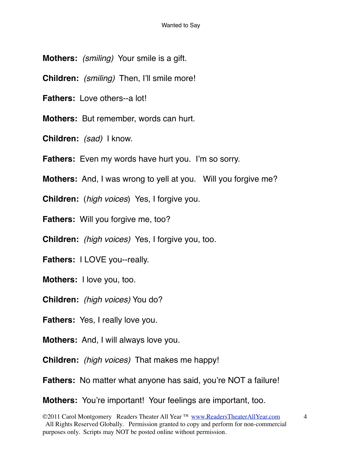- **Mothers:** *(smiling)* Your smile is a gift.
- **Children:** *(smiling)* Then, I'll smile more!
- **Fathers:** Love others--a lot!
- **Mothers:** But remember, words can hurt.
- **Children:** *(sad)* I know.
- **Fathers:** Even my words have hurt you. I'm so sorry.
- **Mothers:** And, I was wrong to yell at you. Will you forgive me?
- **Children:** (*high voices*) Yes, I forgive you.
- **Fathers:** Will you forgive me, too?
- **Children:** *(high voices)* Yes, I forgive you, too.
- **Fathers:** I LOVE you--really.
- **Mothers:** I love you, too.
- **Children:** *(high voices)* You do?
- **Fathers:** Yes, I really love you.
- **Mothers:** And, I will always love you.
- **Children:** *(high voices)* That makes me happy!
- **Fathers:** No matter what anyone has said, you're NOT a failure!
- **Mothers:** You're important! Your feelings are important, too.

<sup>©2011</sup> Carol Montgomery Readers Theater All Year ™ [www.ReadersTheaterAllYear.com](http://www.ReadersTheaterAllYear.com) 4 All Rights Reserved Globally. Permission granted to copy and perform for non-commercial purposes only. Scripts may NOT be posted online without permission.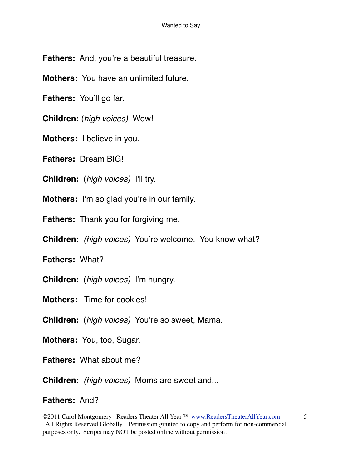**Fathers:** And, you're a beautiful treasure.

**Mothers:** You have an unlimited future.

**Fathers:** You'll go far.

**Children:** (*high voices)* Wow!

**Mothers:** I believe in you.

**Fathers:** Dream BIG!

**Children:** (*high voices)* I'll try.

**Mothers:** I'm so glad you're in our family.

**Fathers:** Thank you for forgiving me.

**Children:** *(high voices)* You're welcome. You know what?

**Fathers:** What?

**Children:** (*high voices)* I'm hungry.

**Mothers:** Time for cookies!

**Children:** (*high voices)* You're so sweet, Mama.

**Mothers:** You, too, Sugar.

**Fathers:** What about me?

**Children:** *(high voices)* Moms are sweet and...

### **Fathers:** And?

©2011 Carol Montgomery Readers Theater All Year ™ [www.ReadersTheaterAllYear.com](http://www.ReadersTheaterAllYear.com) 5 All Rights Reserved Globally. Permission granted to copy and perform for non-commercial purposes only. Scripts may NOT be posted online without permission.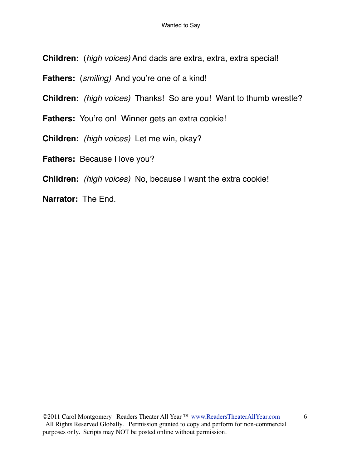**Children:** (*high voices)* And dads are extra, extra, extra special!

**Fathers:** (*smiling)* And you're one of a kind!

**Children:** *(high voices)* Thanks! So are you! Want to thumb wrestle?

Fathers: You're on! Winner gets an extra cookie!

**Children:** *(high voices)* Let me win, okay?

**Fathers:** Because I love you?

**Children:** *(high voices)* No, because I want the extra cookie!

**Narrator:** The End.